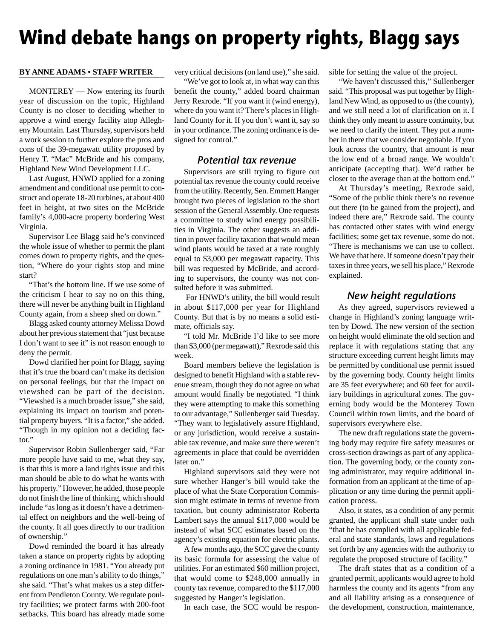# **Wind debate hangs on property rights, Blagg says**

#### **BY ANNE ADAMS • STAFF WRITER**

MONTEREY — Now entering its fourth year of discussion on the topic, Highland County is no closer to deciding whether to approve a wind energy facility atop Allegheny Mountain. Last Thursday, supervisors held a work session to further explore the pros and cons of the 39-megawatt utility proposed by Henry T. "Mac" McBride and his company, Highland New Wind Development LLC.

Last August, HNWD applied for a zoning amendment and conditional use permit to construct and operate 18-20 turbines, at about 400 feet in height, at two sites on the McBride family's 4,000-acre property bordering West Virginia.

Supervisor Lee Blagg said he's convinced the whole issue of whether to permit the plant comes down to property rights, and the question, "Where do your rights stop and mine start?

"That's the bottom line. If we use some of the criticism I hear to say no on this thing, there will never be anything built in Highland County again, from a sheep shed on down."

Blagg asked county attorney Melissa Dowd about her previous statement that "just because I don't want to see it" is not reason enough to deny the permit.

Dowd clarified her point for Blagg, saying that it's true the board can't make its decision on personal feelings, but that the impact on viewshed can be part of the decision. "Viewshed is a much broader issue," she said, explaining its impact on tourism and potential property buyers. "It is a factor," she added. "Though in my opinion not a deciding factor."

Supervisor Robin Sullenberger said, "Far more people have said to me, what they say, is that this is more a land rights issue and this man should be able to do what he wants with his property." However, he added, those people do not finish the line of thinking, which should include "as long as it doesn't have a detrimental effect on neighbors and the well-being of the county. It all goes directly to our tradition of ownership."

Dowd reminded the board it has already taken a stance on property rights by adopting a zoning ordinance in 1981. "You already put regulations on one man's ability to do things," she said. "That's what makes us a step different from Pendleton County. We regulate poultry facilities; we protect farms with 200-foot setbacks. This board has already made some very critical decisions (on land use)," she said.

"We've got to look at, in what way can this benefit the county," added board chairman Jerry Rexrode. "If you want it (wind energy), where do you want it? There's places in Highland County for it. If you don't want it, say so in your ordinance. The zoning ordinance is designed for control."

# Potential tax revenue

Supervisors are still trying to figure out potential tax revenue the county could receive from the utility. Recently, Sen. Emmett Hanger brought two pieces of legislation to the short session of the General Assembly. One requests a committee to study wind energy possibilities in Virginia. The other suggests an addition in power facility taxation that would mean wind plants would be taxed at a rate roughly equal to \$3,000 per megawatt capacity. This bill was requested by McBride, and according to supervisors, the county was not consulted before it was submitted.

 For HNWD's utility, the bill would result in about \$117,000 per year for Highland County. But that is by no means a solid estimate, officials say.

"I told Mr. McBride I'd like to see more than \$3,000 (per megawatt)," Rexrode said this week.

Board members believe the legislation is designed to benefit Highland with a stable revenue stream, though they do not agree on what amount would finally be negotiated. "I think they were attempting to make this something to our advantage," Sullenberger said Tuesday. "They want to legislatively assure Highland, or any jurisdiction, would receive a sustainable tax revenue, and make sure there weren't agreements in place that could be overridden later on."

Highland supervisors said they were not sure whether Hanger's bill would take the place of what the State Corporation Commission might estimate in terms of revenue from taxation, but county administrator Roberta Lambert says the annual \$117,000 would be instead of what SCC estimates based on the agency's existing equation for electric plants.

A few months ago, the SCC gave the county its basic formula for assessing the value of utilities. For an estimated \$60 million project, that would come to \$248,000 annually in county tax revenue, compared to the \$117,000 suggested by Hanger's legislation.

In each case, the SCC would be respon-

sible for setting the value of the project.

"We haven't discussed this," Sullenberger said. "This proposal was put together by Highland New Wind, as opposed to us (the county), and we still need a lot of clarification on it. I think they only meant to assure continuity, but we need to clarify the intent. They put a number in there that we consider negotiable. If you look across the country, that amount is near the low end of a broad range. We wouldn't anticipate (accepting that). We'd rather be closer to the average than at the bottom end."

At Thursday's meeting, Rexrode said, "Some of the public think there's no revenue out there (to be gained from the project), and indeed there are," Rexrode said. The county has contacted other states with wind energy facilities; some get tax revenue, some do not. "There is mechanisms we can use to collect. We have that here. If someone doesn't pay their taxes in three years, we sell his place," Rexrode explained.

# New height regulations

As they agreed, supervisors reviewed a change in Highland's zoning language written by Dowd. The new version of the section on height would eliminate the old section and replace it with regulations stating that any structure exceeding current height limits may be permitted by conditional use permit issued by the governing body. County height limits are 35 feet everywhere; and 60 feet for auxiliary buildings in agricultural zones. The governing body would be the Monterey Town Council within town limits, and the board of supervisors everywhere else.

The new draft regulations state the governing body may require fire safety measures or cross-section drawings as part of any application. The governing body, or the county zoning administrator, may require additional information from an applicant at the time of application or any time during the permit application process.

Also, it states, as a condition of any permit granted, the applicant shall state under oath "that he has complied with all applicable federal and state standards, laws and regulations set forth by any agencies with the authority to regulate the proposed structure of facility."

The draft states that as a condition of a granted permit, applicants would agree to hold harmless the county and its agents "from any and all liability arising as a consequence of the development, construction, maintenance,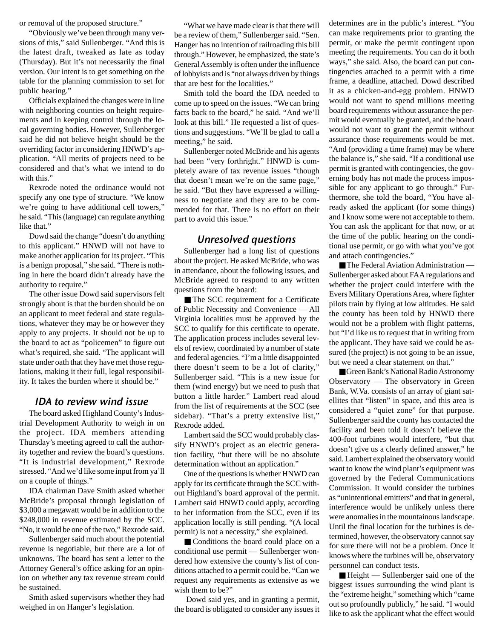or removal of the proposed structure."

"Obviously we've been through many versions of this," said Sullenberger. "And this is the latest draft, tweaked as late as today (Thursday). But it's not necessarily the final version. Our intent is to get something on the table for the planning commission to set for public hearing."

Officials explained the changes were in line with neighboring counties on height requirements and in keeping control through the local governing bodies. However, Sullenberger said he did not believe height should be the overriding factor in considering HNWD's application. "All merits of projects need to be considered and that's what we intend to do with this."

Rexrode noted the ordinance would not specify any one type of structure. "We know we're going to have additional cell towers," he said. "This (language) can regulate anything like that."

Dowd said the change "doesn't do anything to this applicant." HNWD will not have to make another application for its project. "This is a benign proposal," she said. "There is nothing in here the board didn't already have the authority to require."

The other issue Dowd said supervisors felt strongly about is that the burden should be on an applicant to meet federal and state regulations, whatever they may be or however they apply to any projects. It should not be up to the board to act as "policemen" to figure out what's required, she said. "The applicant will state under oath that they have met those regulations, making it their full, legal responsibility. It takes the burden where it should be."

### IDA to review wind issue

The board asked Highland County's Industrial Development Authority to weigh in on the project. IDA members attending Thursday's meeting agreed to call the authority together and review the board's questions. "It is industrial development," Rexrode stressed. "And we'd like some input from ya'll on a couple of things."

IDA chairman Dave Smith asked whether McBride's proposal through legislation of \$3,000 a megawatt would be in addition to the \$248,000 in revenue estimated by the SCC. "No, it would be one of the two," Rexrode said.

Sullenberger said much about the potential revenue is negotiable, but there are a lot of unknowns. The board has sent a letter to the Attorney General's office asking for an opinion on whether any tax revenue stream could be sustained.

Smith asked supervisors whether they had weighed in on Hanger's legislation.

"What we have made clear is that there will be a review of them," Sullenberger said. "Sen. Hanger has no intention of railroading this bill through." However, he emphasized, the state's General Assembly is often under the influence of lobbyists and is "not always driven by things that are best for the localities."

Smith told the board the IDA needed to come up to speed on the issues. "We can bring facts back to the board," he said. "And we'll look at this bill." He requested a list of questions and suggestions. "We'll be glad to call a meeting," he said.

Sullenberger noted McBride and his agents had been "very forthright." HNWD is completely aware of tax revenue issues "though that doesn't mean we're on the same page," he said. "But they have expressed a willingness to negotiate and they are to be commended for that. There is no effort on their part to avoid this issue."

# Unresolved questions

Sullenberger had a long list of questions about the project. He asked McBride, who was in attendance, about the following issues, and McBride agreed to respond to any written questions from the board:

■ The SCC requirement for a Certificate of Public Necessity and Convenience — All Virginia localities must be approved by the SCC to qualify for this certificate to operate. The application process includes several levels of review, coordinated by a number of state and federal agencies. "I'm a little disappointed there doesn't seem to be a lot of clarity," Sullenberger said. "This is a new issue for them (wind energy) but we need to push that button a little harder." Lambert read aloud from the list of requirements at the SCC (see sidebar). "That's a pretty extensive list," Rexrode added.

Lambert said the SCC would probably classify HNWD's project as an electric generation facility, "but there will be no absolute determination without an application."

One of the questions is whether HNWD can apply for its certificate through the SCC without Highland's board approval of the permit. Lambert said HNWD could apply, according to her information from the SCC, even if its application locally is still pending. "(A local permit) is not a necessity," she explained.

■ Conditions the board could place on a conditional use permit — Sullenberger wondered how extensive the county's list of conditions attached to a permit could be. "Can we request any requirements as extensive as we wish them to be?"

Dowd said yes, and in granting a permit, the board is obligated to consider any issues it determines are in the public's interest. "You can make requirements prior to granting the permit, or make the permit contingent upon meeting the requirements. You can do it both ways," she said. Also, the board can put contingencies attached to a permit with a time frame, a deadline, attached. Dowd described it as a chicken-and-egg problem. HNWD would not want to spend millions meeting board requirements without assurance the permit would eventually be granted, and the board would not want to grant the permit without assurance those requirements would be met. "And (providing a time frame) may be where the balance is," she said. "If a conditional use permit is granted with contingencies, the governing body has not made the process impossible for any applicant to go through." Furthermore, she told the board, "You have already asked the applicant (for some things) and I know some were not acceptable to them. You can ask the applicant for that now, or at the time of the public hearing on the conditional use permit, or go with what you've got and attach contingencies."

■ The Federal Aviation Administration — Sullenberger asked about FAA regulations and whether the project could interfere with the Evers Military Operations Area, where fighter pilots train by flying at low altitudes. He said the county has been told by HNWD there would not be a problem with flight patterns, but "I'd like us to request that in writing from the applicant. They have said we could be assured (the project) is not going to be an issue, but we need a clear statement on that."

■ Green Bank's National Radio Astronomy Observatory — The observatory in Green Bank, W.Va. consists of an array of giant satellites that "listen" in space, and this area is considered a "quiet zone" for that purpose. Sullenberger said the county has contacted the facility and been told it doesn't believe the 400-foot turbines would interfere, "but that doesn't give us a clearly defined answer," he said. Lambert explained the observatory would want to know the wind plant's equipment was governed by the Federal Communications Commission. It would consider the turbines as "unintentional emitters" and that in general, interference would be unlikely unless there were anomalies in the mountainous landscape. Until the final location for the turbines is determined, however, the observatory cannot say for sure there will not be a problem. Once it knows where the turbines will be, observatory personnel can conduct tests.

■ Height — Sullenberger said one of the biggest issues surrounding the wind plant is the "extreme height," something which "came out so profoundly publicly," he said. "I would like to ask the applicant what the effect would